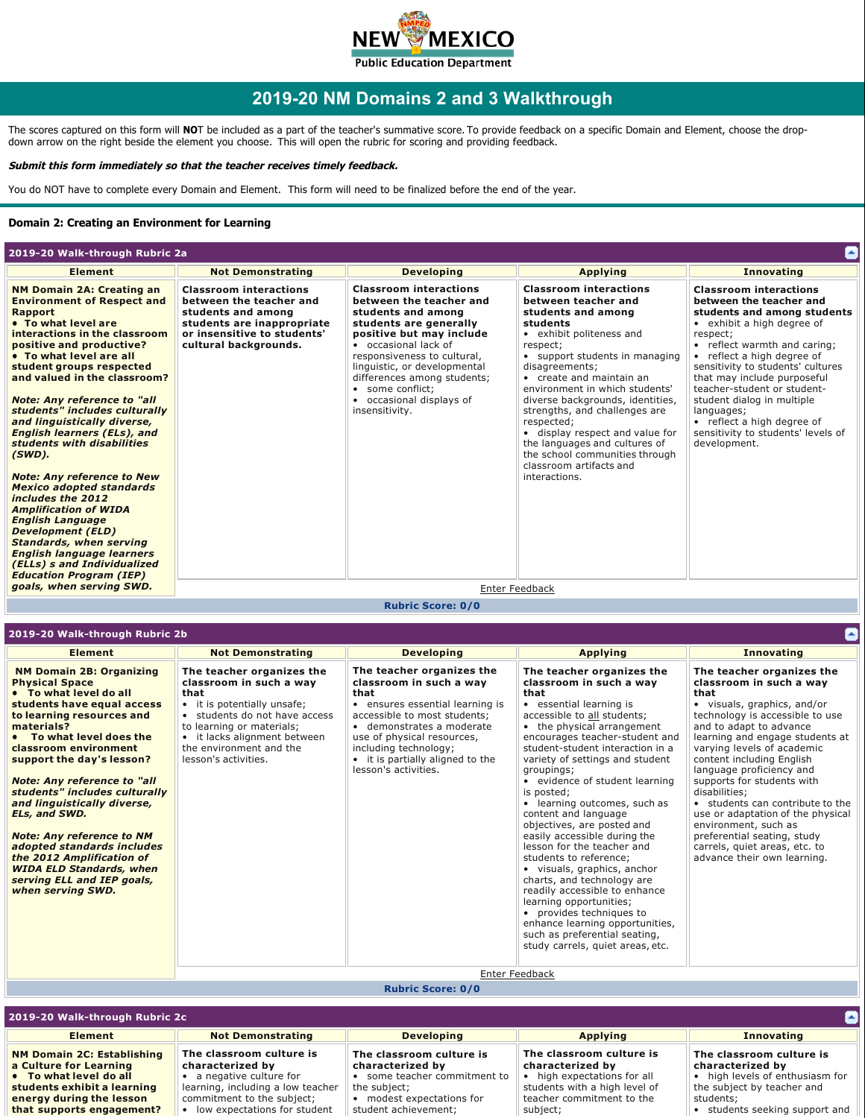

# **2019-20 NM Domains 2 and 3 Walkthrough**

The scores captured on this form will **NO**T be included as a part of the teacher's summative score. To provide feedback on a specific Domain and Element, choose the dropdown arrow on the right beside the element you choose.  This will open the rubric for scoring and providing feedback. 

#### **Submit this form immediately so that the teacher receives timely feedback.**

You do NOT have to complete every Domain and Element. This form will need to be finalized before the end of the year.

#### **Domain 2: Creating an Environment for Learning**

| 2019-20 Walk-through Rubric 2a                                                                                                                                                                                                                                                                                                                                                                                                                                                                                                                                                                                                                                                                                                                                                    |                                                                                                                                                                      |                                                                                                                                                                                                                                                                                                                                         |                                                                                                                                                                                                                                                                                                                                                                                                                                                                                       | Ł                                                                                                                                                                                                                                                                                                                                                                                                                                  |
|-----------------------------------------------------------------------------------------------------------------------------------------------------------------------------------------------------------------------------------------------------------------------------------------------------------------------------------------------------------------------------------------------------------------------------------------------------------------------------------------------------------------------------------------------------------------------------------------------------------------------------------------------------------------------------------------------------------------------------------------------------------------------------------|----------------------------------------------------------------------------------------------------------------------------------------------------------------------|-----------------------------------------------------------------------------------------------------------------------------------------------------------------------------------------------------------------------------------------------------------------------------------------------------------------------------------------|---------------------------------------------------------------------------------------------------------------------------------------------------------------------------------------------------------------------------------------------------------------------------------------------------------------------------------------------------------------------------------------------------------------------------------------------------------------------------------------|------------------------------------------------------------------------------------------------------------------------------------------------------------------------------------------------------------------------------------------------------------------------------------------------------------------------------------------------------------------------------------------------------------------------------------|
| <b>Element</b>                                                                                                                                                                                                                                                                                                                                                                                                                                                                                                                                                                                                                                                                                                                                                                    | <b>Not Demonstrating</b>                                                                                                                                             | <b>Developing</b>                                                                                                                                                                                                                                                                                                                       | <b>Applying</b>                                                                                                                                                                                                                                                                                                                                                                                                                                                                       | <b>Innovating</b>                                                                                                                                                                                                                                                                                                                                                                                                                  |
| <b>NM Domain 2A: Creating an</b><br><b>Environment of Respect and</b><br><b>Rapport</b><br>• To what level are<br>interactions in the classroom<br>positive and productive?<br>• To what level are all<br>student groups respected<br>and valued in the classroom?<br><b>Note: Any reference to "all</b><br>students" includes culturally<br>and linguistically diverse,<br><b>English learners (ELs), and</b><br>students with disabilities<br>(SWD).<br><b>Note: Any reference to New</b><br><b>Mexico adopted standards</b><br>includes the 2012<br><b>Amplification of WIDA</b><br><b>English Language</b><br><b>Development (ELD)</b><br><b>Standards, when serving</b><br><b>English language learners</b><br>(ELLs) s and Individualized<br><b>Education Program (IEP)</b> | <b>Classroom interactions</b><br>between the teacher and<br>students and among<br>students are inappropriate<br>or insensitive to students'<br>cultural backgrounds. | <b>Classroom interactions</b><br>between the teacher and<br>students and among<br>students are generally<br>positive but may include<br>• occasional lack of<br>responsiveness to cultural,<br>linguistic, or developmental<br>differences among students;<br>some conflict:<br>$\bullet$<br>• occasional displays of<br>insensitivity. | <b>Classroom interactions</b><br>between teacher and<br>students and among<br>students<br>• exhibit politeness and<br>respect;<br>• support students in managing<br>disagreements;<br>• create and maintain an<br>environment in which students'<br>diverse backgrounds, identities,<br>strengths, and challenges are<br>respected;<br>• display respect and value for<br>the languages and cultures of<br>the school communities through<br>classroom artifacts and<br>interactions. | <b>Classroom interactions</b><br>between the teacher and<br>students and among students<br>• exhibit a high degree of<br>respect;<br>• reflect warmth and caring;<br>• reflect a high degree of<br>sensitivity to students' cultures<br>that may include purposeful<br>teacher-student or student-<br>student dialog in multiple<br>languages;<br>• reflect a high degree of<br>sensitivity to students' levels of<br>development. |
| goals, when serving SWD.                                                                                                                                                                                                                                                                                                                                                                                                                                                                                                                                                                                                                                                                                                                                                          |                                                                                                                                                                      | Enter Feedback                                                                                                                                                                                                                                                                                                                          |                                                                                                                                                                                                                                                                                                                                                                                                                                                                                       |                                                                                                                                                                                                                                                                                                                                                                                                                                    |

### **Rubric Score: 0/0**

| 2019-20 Walk-through Rubric 2b                                                                                                                                                                                                                                                                                                                                                                                                                                                                                                                            |                                                                                                                                                                                                                                              |                                                                                                                                                                                                                                                                                 |                                                                                                                                                                                                                                                                                                                                                                                                                                                                                                                                                                                                                                                                                                                                                                                          |                                                                                                                                                                                                                                                                                                                                                                                                                                                                                                                                    |
|-----------------------------------------------------------------------------------------------------------------------------------------------------------------------------------------------------------------------------------------------------------------------------------------------------------------------------------------------------------------------------------------------------------------------------------------------------------------------------------------------------------------------------------------------------------|----------------------------------------------------------------------------------------------------------------------------------------------------------------------------------------------------------------------------------------------|---------------------------------------------------------------------------------------------------------------------------------------------------------------------------------------------------------------------------------------------------------------------------------|------------------------------------------------------------------------------------------------------------------------------------------------------------------------------------------------------------------------------------------------------------------------------------------------------------------------------------------------------------------------------------------------------------------------------------------------------------------------------------------------------------------------------------------------------------------------------------------------------------------------------------------------------------------------------------------------------------------------------------------------------------------------------------------|------------------------------------------------------------------------------------------------------------------------------------------------------------------------------------------------------------------------------------------------------------------------------------------------------------------------------------------------------------------------------------------------------------------------------------------------------------------------------------------------------------------------------------|
| <b>Element</b>                                                                                                                                                                                                                                                                                                                                                                                                                                                                                                                                            | <b>Not Demonstrating</b>                                                                                                                                                                                                                     | <b>Developing</b>                                                                                                                                                                                                                                                               | <b>Applying</b>                                                                                                                                                                                                                                                                                                                                                                                                                                                                                                                                                                                                                                                                                                                                                                          | <b>Innovating</b>                                                                                                                                                                                                                                                                                                                                                                                                                                                                                                                  |
| <b>NM Domain 2B: Organizing</b><br><b>Physical Space</b><br>• To what level do all<br>students have equal access<br>to learning resources and<br>materials?<br>• To what level does the<br>classroom environment<br>support the day's lesson?<br><b>Note: Any reference to "all</b><br>students" includes culturally<br>and linguistically diverse,<br>ELs, and SWD.<br><b>Note: Any reference to NM</b><br>adopted standards includes<br>the 2012 Amplification of<br><b>WIDA ELD Standards, when</b><br>serving ELL and IEP goals,<br>when serving SWD. | The teacher organizes the<br>classroom in such a way<br>that<br>• it is potentially unsafe;<br>• students do not have access<br>to learning or materials;<br>• it lacks alignment between<br>the environment and the<br>lesson's activities. | The teacher organizes the<br>classroom in such a way<br>that<br>• ensures essential learning is<br>accessible to most students;<br>• demonstrates a moderate<br>use of physical resources,<br>including technology;<br>• it is partially aligned to the<br>lesson's activities. | The teacher organizes the<br>classroom in such a way<br>that<br>• essential learning is<br>accessible to all students;<br>• the physical arrangement<br>encourages teacher-student and<br>student-student interaction in a<br>variety of settings and student<br>groupings;<br>• evidence of student learning<br>is posted:<br>• learning outcomes, such as<br>content and language<br>objectives, are posted and<br>easily accessible during the<br>lesson for the teacher and<br>students to reference:<br>• visuals, graphics, anchor<br>charts, and technology are<br>readily accessible to enhance<br>learning opportunities;<br>• provides techniques to<br>enhance learning opportunities,<br>such as preferential seating,<br>study carrels, quiet areas, etc.<br>Enter Feedback | The teacher organizes the<br>classroom in such a way<br>that<br>• visuals, graphics, and/or<br>technology is accessible to use<br>and to adapt to advance<br>learning and engage students at<br>varying levels of academic<br>content including English<br>language proficiency and<br>supports for students with<br>disabilities:<br>• students can contribute to the<br>use or adaptation of the physical<br>environment, such as<br>preferential seating, study<br>carrels, quiet areas, etc. to<br>advance their own learning. |
|                                                                                                                                                                                                                                                                                                                                                                                                                                                                                                                                                           |                                                                                                                                                                                                                                              |                                                                                                                                                                                                                                                                                 |                                                                                                                                                                                                                                                                                                                                                                                                                                                                                                                                                                                                                                                                                                                                                                                          |                                                                                                                                                                                                                                                                                                                                                                                                                                                                                                                                    |

**Rubric Score: 0/0**

| 2019-20 Walk-through Rubric 2c    |                                   |                            |                               |                                 |  |
|-----------------------------------|-----------------------------------|----------------------------|-------------------------------|---------------------------------|--|
| Element                           | <b>Not Demonstrating</b>          | <b>Developing</b>          | <b>Applying</b>               | <b>Innovating</b>               |  |
| <b>NM Domain 2C: Establishing</b> | The classroom culture is          | The classroom culture is   | The classroom culture is      | The classroom culture is        |  |
| a Culture for Learning            | characterized by                  | characterized by           | characterized by              | characterized by                |  |
| • To what level do all            | a negative culture for            | some teacher commitment to | high expectations for all     | • high levels of enthusiasm for |  |
| students exhibit a learning       | learning, including a low teacher | the subject:               | students with a high level of | the subject by teacher and      |  |
| energy during the lesson          | commitment to the subject;        | modest expectations for    | teacher commitment to the     | students:                       |  |
| that supports engagement?         | low expectations for student      | student achievement;       | subject;                      | • students seeking support and  |  |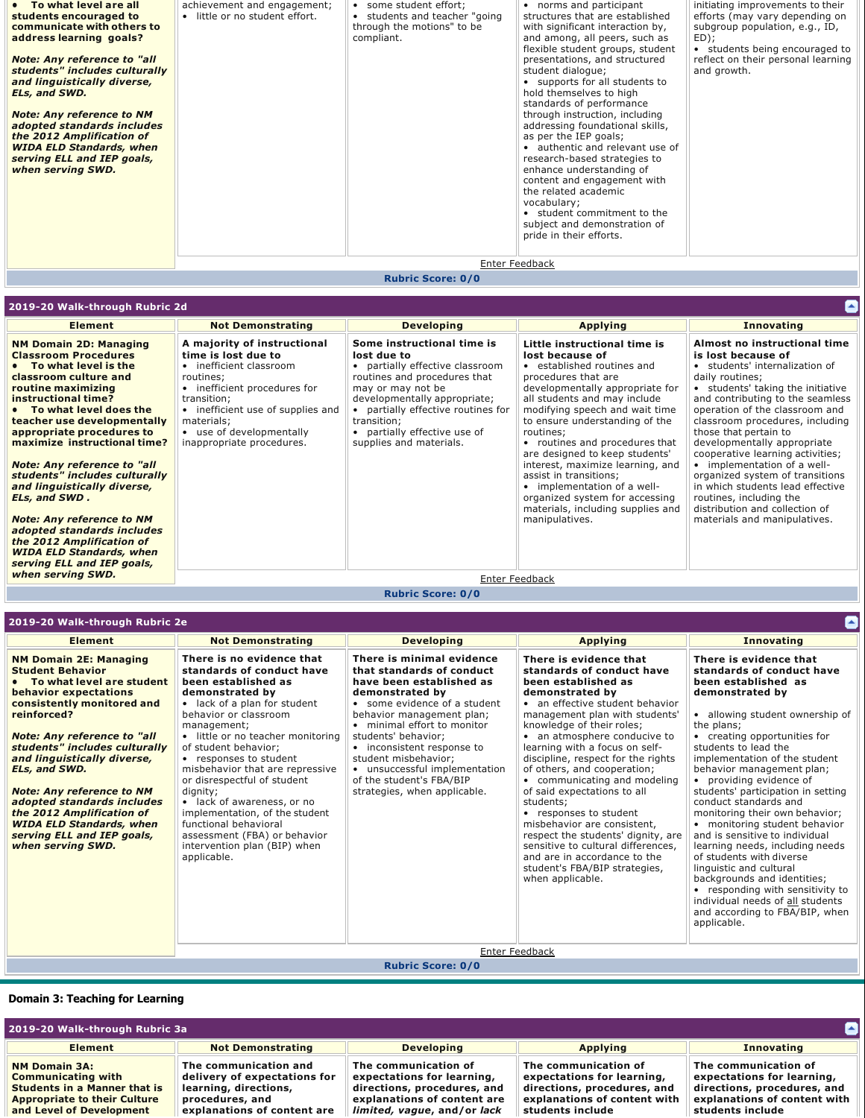| • To what level are all<br>students encouraged to<br>communicate with others to<br>address learning goals?<br><b>Note: Any reference to "all</b><br>students" includes culturally<br>and linguistically diverse,<br>ELs, and SWD.<br><b>Note: Any reference to NM</b><br>adopted standards includes<br>the 2012 Amplification of<br><b>WIDA ELD Standards, when</b><br>serving ELL and IEP goals,<br>when serving SWD. | achievement and engagement;<br>· little or no student effort. | • some student effort;<br>• students and teacher "going<br>through the motions" to be<br>compliant. | • norms and participant<br>structures that are established<br>with significant interaction by,<br>and among, all peers, such as<br>flexible student groups, student<br>presentations, and structured<br>student dialogue;<br>• supports for all students to<br>hold themselves to high<br>standards of performance<br>through instruction, including<br>addressing foundational skills,<br>as per the IEP goals;<br>• authentic and relevant use of<br>research-based strategies to<br>enhance understanding of<br>content and engagement with<br>the related academic<br>vocabulary;<br>• student commitment to the<br>subject and demonstration of<br>pride in their efforts. | initiating improvements to their<br>efforts (may vary depending on<br>subgroup population, e.g., ID,<br>ED);<br>• students being encouraged to<br>reflect on their personal learning<br>and growth. |
|------------------------------------------------------------------------------------------------------------------------------------------------------------------------------------------------------------------------------------------------------------------------------------------------------------------------------------------------------------------------------------------------------------------------|---------------------------------------------------------------|-----------------------------------------------------------------------------------------------------|---------------------------------------------------------------------------------------------------------------------------------------------------------------------------------------------------------------------------------------------------------------------------------------------------------------------------------------------------------------------------------------------------------------------------------------------------------------------------------------------------------------------------------------------------------------------------------------------------------------------------------------------------------------------------------|-----------------------------------------------------------------------------------------------------------------------------------------------------------------------------------------------------|
|                                                                                                                                                                                                                                                                                                                                                                                                                        |                                                               |                                                                                                     | Enter Feedback                                                                                                                                                                                                                                                                                                                                                                                                                                                                                                                                                                                                                                                                  |                                                                                                                                                                                                     |

# **Rubric Score: 0/0**

| 2019-20 Walk-through Rubric 2d                                                                                                                                                                                                                                                                                                                                                                                                                                                                                                                                                                   |                                                                                                                                                                                                                                                       |                                                                                                                                                                                                                                                                                   |                                                                                                                                                                                                                                                                                                                                                                                                                                                                                                                                          | $\blacktriangle$                                                                                                                                                                                                                                                                                                                                                                                                                                                                                                                                     |
|--------------------------------------------------------------------------------------------------------------------------------------------------------------------------------------------------------------------------------------------------------------------------------------------------------------------------------------------------------------------------------------------------------------------------------------------------------------------------------------------------------------------------------------------------------------------------------------------------|-------------------------------------------------------------------------------------------------------------------------------------------------------------------------------------------------------------------------------------------------------|-----------------------------------------------------------------------------------------------------------------------------------------------------------------------------------------------------------------------------------------------------------------------------------|------------------------------------------------------------------------------------------------------------------------------------------------------------------------------------------------------------------------------------------------------------------------------------------------------------------------------------------------------------------------------------------------------------------------------------------------------------------------------------------------------------------------------------------|------------------------------------------------------------------------------------------------------------------------------------------------------------------------------------------------------------------------------------------------------------------------------------------------------------------------------------------------------------------------------------------------------------------------------------------------------------------------------------------------------------------------------------------------------|
| <b>Element</b>                                                                                                                                                                                                                                                                                                                                                                                                                                                                                                                                                                                   | <b>Not Demonstrating</b>                                                                                                                                                                                                                              | <b>Developing</b>                                                                                                                                                                                                                                                                 | <b>Applying</b>                                                                                                                                                                                                                                                                                                                                                                                                                                                                                                                          | <b>Innovating</b>                                                                                                                                                                                                                                                                                                                                                                                                                                                                                                                                    |
| <b>NM Domain 2D: Managing</b><br><b>Classroom Procedures</b><br>• To what level is the<br>classroom culture and<br>routine maximizing<br>instructional time?<br>• To what level does the<br>teacher use developmentally<br>appropriate procedures to<br>maximize instructional time?<br><b>Note: Any reference to "all</b><br>students" includes culturally<br>and linguistically diverse,<br>ELs, and SWD.<br><b>Note: Any reference to NM</b><br>adopted standards includes<br>the 2012 Amplification of<br><b>WIDA ELD Standards, when</b><br>serving ELL and IEP goals,<br>when serving SWD. | A majority of instructional<br>time is lost due to<br>• inefficient classroom<br>routines;<br>• inefficient procedures for<br>transition:<br>• inefficient use of supplies and<br>materials;<br>• use of developmentally<br>inappropriate procedures. | Some instructional time is<br>lost due to<br>• partially effective classroom<br>routines and procedures that<br>may or may not be<br>developmentally appropriate;<br>• partially effective routines for<br>transition;<br>• partially effective use of<br>supplies and materials. | Little instructional time is<br>lost because of<br>established routines and<br>$\bullet$<br>procedures that are<br>developmentally appropriate for<br>all students and may include<br>modifying speech and wait time<br>to ensure understanding of the<br>routines:<br>routines and procedures that<br>$\bullet$<br>are designed to keep students'<br>interest, maximize learning, and<br>assist in transitions;<br>• implementation of a well-<br>organized system for accessing<br>materials, including supplies and<br>manipulatives. | Almost no instructional time<br>is lost because of<br>• students' internalization of<br>daily routines;<br>• students' taking the initiative<br>and contributing to the seamless<br>operation of the classroom and<br>classroom procedures, including<br>those that pertain to<br>developmentally appropriate<br>cooperative learning activities;<br>• implementation of a well-<br>organized system of transitions<br>in which students lead effective<br>routines, including the<br>distribution and collection of<br>materials and manipulatives. |
|                                                                                                                                                                                                                                                                                                                                                                                                                                                                                                                                                                                                  |                                                                                                                                                                                                                                                       |                                                                                                                                                                                                                                                                                   | Enter Feedback                                                                                                                                                                                                                                                                                                                                                                                                                                                                                                                           |                                                                                                                                                                                                                                                                                                                                                                                                                                                                                                                                                      |

**Rubric Score: 0/0**

| 2019-20 Walk-through Rubric 2e                                                                                                                                                                                                                                                                                                                                                                                                                                            |                                                                                                                                                                                                                                                                                                                                                                                                                                                                                                                       |                                                                                                                                                                                                                                                                                                                                                                             |                                                                                                                                                                                                                                                                                                                                                                                                                                                                                                                                                                                                                                              |                                                                                                                                                                                                                                                                                                                                                                                                                                                                                                                                                                                                                                                                                                                       |
|---------------------------------------------------------------------------------------------------------------------------------------------------------------------------------------------------------------------------------------------------------------------------------------------------------------------------------------------------------------------------------------------------------------------------------------------------------------------------|-----------------------------------------------------------------------------------------------------------------------------------------------------------------------------------------------------------------------------------------------------------------------------------------------------------------------------------------------------------------------------------------------------------------------------------------------------------------------------------------------------------------------|-----------------------------------------------------------------------------------------------------------------------------------------------------------------------------------------------------------------------------------------------------------------------------------------------------------------------------------------------------------------------------|----------------------------------------------------------------------------------------------------------------------------------------------------------------------------------------------------------------------------------------------------------------------------------------------------------------------------------------------------------------------------------------------------------------------------------------------------------------------------------------------------------------------------------------------------------------------------------------------------------------------------------------------|-----------------------------------------------------------------------------------------------------------------------------------------------------------------------------------------------------------------------------------------------------------------------------------------------------------------------------------------------------------------------------------------------------------------------------------------------------------------------------------------------------------------------------------------------------------------------------------------------------------------------------------------------------------------------------------------------------------------------|
| <b>Element</b>                                                                                                                                                                                                                                                                                                                                                                                                                                                            | <b>Not Demonstrating</b>                                                                                                                                                                                                                                                                                                                                                                                                                                                                                              | <b>Developing</b>                                                                                                                                                                                                                                                                                                                                                           | <b>Applying</b>                                                                                                                                                                                                                                                                                                                                                                                                                                                                                                                                                                                                                              | <b>Innovating</b>                                                                                                                                                                                                                                                                                                                                                                                                                                                                                                                                                                                                                                                                                                     |
| <b>NM Domain 2E: Managing</b><br><b>Student Behavior</b><br>• To what level are student<br>behavior expectations<br>consistently monitored and<br>reinforced?<br><b>Note: Any reference to "all</b><br>students" includes culturally<br>and linguistically diverse,<br>ELs, and SWD.<br><b>Note: Any reference to NM</b><br>adopted standards includes<br>the 2012 Amplification of<br><b>WIDA ELD Standards, when</b><br>serving ELL and IEP goals,<br>when serving SWD. | There is no evidence that<br>standards of conduct have<br>been established as<br>demonstrated by<br>• lack of a plan for student<br>behavior or classroom<br>management;<br>· little or no teacher monitoring<br>of student behavior;<br>• responses to student<br>misbehavior that are repressive<br>or disrespectful of student<br>dignity;<br>• lack of awareness, or no<br>implementation, of the student<br>functional behavioral<br>assessment (FBA) or behavior<br>intervention plan (BIP) when<br>applicable. | There is minimal evidence<br>that standards of conduct<br>have been established as<br>demonstrated by<br>• some evidence of a student<br>behavior management plan;<br>• minimal effort to monitor<br>students' behavior:<br>• inconsistent response to<br>student misbehavior;<br>• unsuccessful implementation<br>of the student's FBA/BIP<br>strategies, when applicable. | There is evidence that<br>standards of conduct have<br>been established as<br>demonstrated by<br>• an effective student behavior<br>management plan with students'<br>knowledge of their roles;<br>• an atmosphere conducive to<br>learning with a focus on self-<br>discipline, respect for the rights<br>of others, and cooperation;<br>• communicating and modeling<br>of said expectations to all<br>students;<br>• responses to student<br>misbehavior are consistent.<br>respect the students' dignity, are<br>sensitive to cultural differences.<br>and are in accordance to the<br>student's FBA/BIP strategies,<br>when applicable. | There is evidence that<br>standards of conduct have<br>been established as<br>demonstrated by<br>• allowing student ownership of<br>the plans;<br>• creating opportunities for<br>students to lead the<br>implementation of the student<br>behavior management plan;<br>• providing evidence of<br>students' participation in setting<br>conduct standards and<br>monitoring their own behavior;<br>• monitoring student behavior<br>and is sensitive to individual<br>learning needs, including needs<br>of students with diverse<br>linguistic and cultural<br>backgrounds and identities;<br>• responding with sensitivity to<br>individual needs of all students<br>and according to FBA/BIP, when<br>applicable. |
|                                                                                                                                                                                                                                                                                                                                                                                                                                                                           |                                                                                                                                                                                                                                                                                                                                                                                                                                                                                                                       |                                                                                                                                                                                                                                                                                                                                                                             | Enter Feedback                                                                                                                                                                                                                                                                                                                                                                                                                                                                                                                                                                                                                               |                                                                                                                                                                                                                                                                                                                                                                                                                                                                                                                                                                                                                                                                                                                       |

### **Rubric Score: 0/0**

### **Domain 3: Teaching for Learning**

| O<br>2019-20 Walk-through Rubric 3a                                                                                                                         |                                                                                                                                  |                                                                                                                                                 |                                                                                                                                       |                                                                                                                                       |
|-------------------------------------------------------------------------------------------------------------------------------------------------------------|----------------------------------------------------------------------------------------------------------------------------------|-------------------------------------------------------------------------------------------------------------------------------------------------|---------------------------------------------------------------------------------------------------------------------------------------|---------------------------------------------------------------------------------------------------------------------------------------|
| <b>Element</b>                                                                                                                                              | <b>Not Demonstrating</b>                                                                                                         | <b>Developing</b>                                                                                                                               | <b>Applying</b>                                                                                                                       | <b>Innovating</b>                                                                                                                     |
| <b>NM Domain 3A:</b><br><b>Communicating with</b><br><b>Students in a Manner that is</b><br><b>Appropriate to their Culture</b><br>and Level of Development | The communication and<br>delivery of expectations for<br>learning, directions,<br>procedures, and<br>explanations of content are | The communication of<br>expectations for learning,<br>directions, procedures, and<br>explanations of content are<br>limited, vague, and/or lack | The communication of<br>expectations for learning,<br>directions, procedures, and<br>explanations of content with<br>students include | The communication of<br>expectations for learning,<br>directions, procedures, and<br>explanations of content with<br>students include |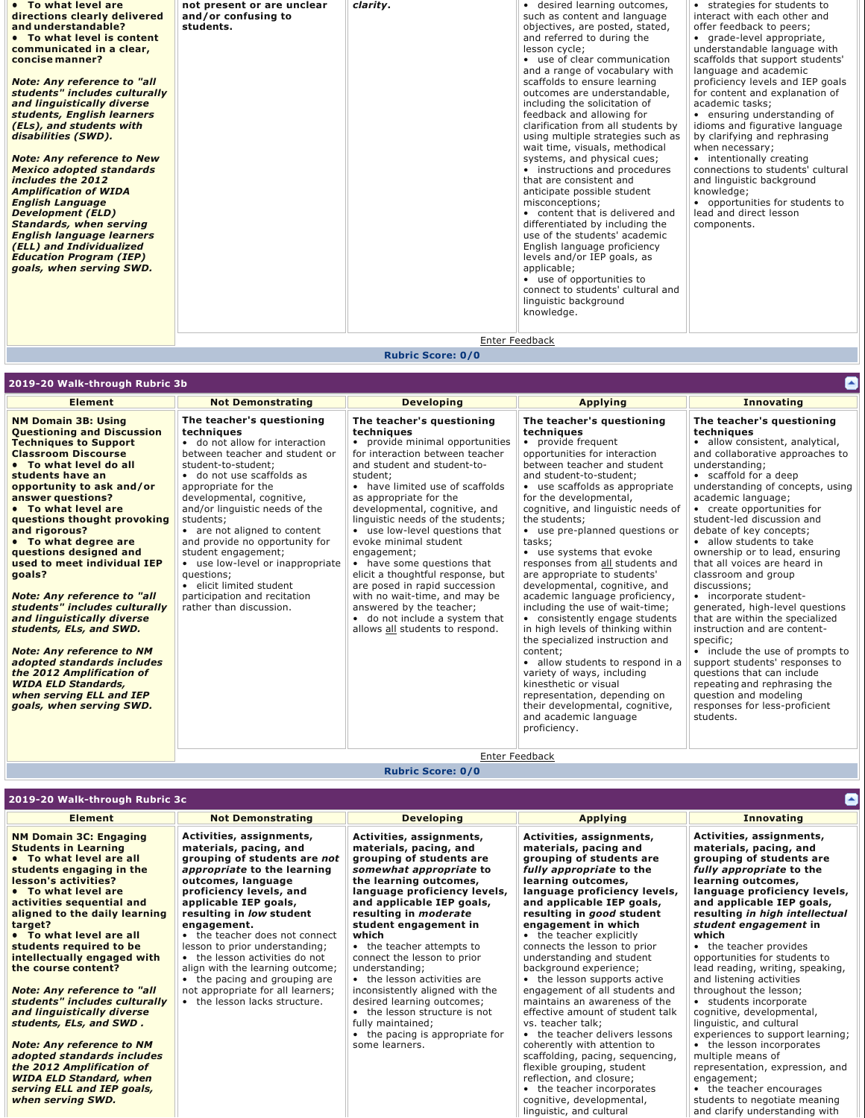| <b>English language learners</b><br>(ELL) and Individualized<br>English language proficiency<br><b>Education Program (IEP)</b><br>levels and/or IEP goals, as<br>goals, when serving SWD.<br>applicable;<br>• use of opportunities to<br>connect to students' cultural and<br>linguistic background<br>knowledge.<br>Enter Feedback | students, English learners<br>feedback and allowing for<br>• ensuring understanding of<br>clarification from all students by<br>(ELs), and students with<br>idioms and figurative language<br>using multiple strategies such as<br>by clarifying and rephrasing<br>disabilities (SWD).<br>wait time, visuals, methodical<br>when necessary;<br><b>Note: Any reference to New</b><br>systems, and physical cues;<br>• intentionally creating<br>connections to students' cultural<br><b>Mexico adopted standards</b><br>• instructions and procedures<br>includes the 2012<br>that are consistent and<br>and linguistic background<br>knowledge;<br><b>Amplification of WIDA</b><br>anticipate possible student<br>• opportunities for students to<br><b>English Language</b><br>misconceptions:<br><b>Development (ELD)</b><br>• content that is delivered and<br>lead and direct lesson<br><b>Standards, when serving</b><br>differentiated by including the<br>components. | • To what level are<br>clarity.<br>• desired learning outcomes,<br>not present or are unclear<br>• strategies for students to<br>interact with each other and<br>directions clearly delivered<br>and/or confusing to<br>such as content and language<br>and understandable?<br>students.<br>objectives, are posted, stated,<br>offer feedback to peers;<br>and referred to during the<br>• To what level is content<br>• grade-level appropriate,<br>understandable language with<br>communicated in a clear,<br>lesson cycle;<br>• use of clear communication<br>scaffolds that support students'<br>concise manner?<br>and a range of vocabulary with<br>language and academic<br><b>Note: Any reference to "all</b><br>scaffolds to ensure learning<br>proficiency levels and IEP goals<br>students" includes culturally<br>outcomes are understandable,<br>for content and explanation of<br>and linguistically diverse<br>including the solicitation of<br>academic tasks: |  |  |  | use of the students' academic. |  |
|-------------------------------------------------------------------------------------------------------------------------------------------------------------------------------------------------------------------------------------------------------------------------------------------------------------------------------------|------------------------------------------------------------------------------------------------------------------------------------------------------------------------------------------------------------------------------------------------------------------------------------------------------------------------------------------------------------------------------------------------------------------------------------------------------------------------------------------------------------------------------------------------------------------------------------------------------------------------------------------------------------------------------------------------------------------------------------------------------------------------------------------------------------------------------------------------------------------------------------------------------------------------------------------------------------------------------|---------------------------------------------------------------------------------------------------------------------------------------------------------------------------------------------------------------------------------------------------------------------------------------------------------------------------------------------------------------------------------------------------------------------------------------------------------------------------------------------------------------------------------------------------------------------------------------------------------------------------------------------------------------------------------------------------------------------------------------------------------------------------------------------------------------------------------------------------------------------------------------------------------------------------------------------------------------------------------|--|--|--|--------------------------------|--|
|-------------------------------------------------------------------------------------------------------------------------------------------------------------------------------------------------------------------------------------------------------------------------------------------------------------------------------------|------------------------------------------------------------------------------------------------------------------------------------------------------------------------------------------------------------------------------------------------------------------------------------------------------------------------------------------------------------------------------------------------------------------------------------------------------------------------------------------------------------------------------------------------------------------------------------------------------------------------------------------------------------------------------------------------------------------------------------------------------------------------------------------------------------------------------------------------------------------------------------------------------------------------------------------------------------------------------|---------------------------------------------------------------------------------------------------------------------------------------------------------------------------------------------------------------------------------------------------------------------------------------------------------------------------------------------------------------------------------------------------------------------------------------------------------------------------------------------------------------------------------------------------------------------------------------------------------------------------------------------------------------------------------------------------------------------------------------------------------------------------------------------------------------------------------------------------------------------------------------------------------------------------------------------------------------------------------|--|--|--|--------------------------------|--|

# **Rubric Score: 0/0**

| 2019-20 Walk-through Rubric 3b                                                                                                                                                                                                                                                                                                                                                                                                                                                                                                                                                                                                                                                                                       |                                                                                                                                                                                                                                                                                                                                                                                                                                                                                                      |                                                                                                                                                                                                                                                                                                                                                                                                                                                                                                                                                                                                                                      |                                                                                                                                                                                                                                                                                                                                                                                                                                                                                                                                                                                                                                                                                                                                                                                                                                                           | ۸                                                                                                                                                                                                                                                                                                                                                                                                                                                                                                                                                                                                                                                                                                                                                                                                     |
|----------------------------------------------------------------------------------------------------------------------------------------------------------------------------------------------------------------------------------------------------------------------------------------------------------------------------------------------------------------------------------------------------------------------------------------------------------------------------------------------------------------------------------------------------------------------------------------------------------------------------------------------------------------------------------------------------------------------|------------------------------------------------------------------------------------------------------------------------------------------------------------------------------------------------------------------------------------------------------------------------------------------------------------------------------------------------------------------------------------------------------------------------------------------------------------------------------------------------------|--------------------------------------------------------------------------------------------------------------------------------------------------------------------------------------------------------------------------------------------------------------------------------------------------------------------------------------------------------------------------------------------------------------------------------------------------------------------------------------------------------------------------------------------------------------------------------------------------------------------------------------|-----------------------------------------------------------------------------------------------------------------------------------------------------------------------------------------------------------------------------------------------------------------------------------------------------------------------------------------------------------------------------------------------------------------------------------------------------------------------------------------------------------------------------------------------------------------------------------------------------------------------------------------------------------------------------------------------------------------------------------------------------------------------------------------------------------------------------------------------------------|-------------------------------------------------------------------------------------------------------------------------------------------------------------------------------------------------------------------------------------------------------------------------------------------------------------------------------------------------------------------------------------------------------------------------------------------------------------------------------------------------------------------------------------------------------------------------------------------------------------------------------------------------------------------------------------------------------------------------------------------------------------------------------------------------------|
| <b>Element</b>                                                                                                                                                                                                                                                                                                                                                                                                                                                                                                                                                                                                                                                                                                       | <b>Not Demonstrating</b>                                                                                                                                                                                                                                                                                                                                                                                                                                                                             | <b>Developing</b>                                                                                                                                                                                                                                                                                                                                                                                                                                                                                                                                                                                                                    | <b>Applying</b>                                                                                                                                                                                                                                                                                                                                                                                                                                                                                                                                                                                                                                                                                                                                                                                                                                           | <b>Innovating</b>                                                                                                                                                                                                                                                                                                                                                                                                                                                                                                                                                                                                                                                                                                                                                                                     |
| <b>NM Domain 3B: Using</b><br><b>Questioning and Discussion</b><br><b>Techniques to Support</b><br><b>Classroom Discourse</b><br>• To what level do all<br>students have an<br>opportunity to ask and/or<br>answer questions?<br>• To what level are<br>questions thought provoking<br>and rigorous?<br>• To what degree are<br>questions designed and<br>used to meet individual IEP<br>qoals?<br><b>Note: Any reference to "all</b><br>students" includes culturally<br>and linguistically diverse<br>students, ELs, and SWD.<br><b>Note: Any reference to NM</b><br>adopted standards includes<br>the 2012 Amplification of<br><b>WIDA ELD Standards,</b><br>when serving ELL and IEP<br>goals, when serving SWD. | The teacher's questioning<br>techniques<br>• do not allow for interaction<br>between teacher and student or<br>student-to-student;<br>• do not use scaffolds as<br>appropriate for the<br>developmental, cognitive,<br>and/or linguistic needs of the<br>students:<br>• are not aligned to content<br>and provide no opportunity for<br>student engagement;<br>• use low-level or inappropriate<br>questions:<br>· elicit limited student<br>participation and recitation<br>rather than discussion. | The teacher's questioning<br>techniques<br>• provide minimal opportunities<br>for interaction between teacher<br>and student and student-to-<br>student;<br>• have limited use of scaffolds<br>as appropriate for the<br>developmental, cognitive, and<br>linguistic needs of the students;<br>• use low-level questions that<br>evoke minimal student<br>engagement;<br>• have some questions that<br>elicit a thoughtful response, but<br>are posed in rapid succession<br>with no wait-time, and may be<br>answered by the teacher;<br>• do not include a system that<br>allows all students to respond.<br><b>Enter Feedback</b> | The teacher's questioning<br>techniques<br>• provide frequent<br>opportunities for interaction<br>between teacher and student<br>and student-to-student:<br>• use scaffolds as appropriate<br>for the developmental,<br>cognitive, and linguistic needs of<br>the students:<br>• use pre-planned questions or<br>tasks:<br>• use systems that evoke<br>responses from all students and<br>are appropriate to students'<br>developmental, cognitive, and<br>academic language proficiency,<br>including the use of wait-time;<br>• consistently engage students<br>in high levels of thinking within<br>the specialized instruction and<br>content:<br>• allow students to respond in a<br>variety of ways, including<br>kinesthetic or visual<br>representation, depending on<br>their developmental, cognitive,<br>and academic language<br>proficiency. | The teacher's questioning<br>techniques<br>· allow consistent, analytical,<br>and collaborative approaches to<br>understanding;<br>• scaffold for a deep<br>understanding of concepts, using<br>academic language;<br>• create opportunities for<br>student-led discussion and<br>debate of key concepts;<br>• allow students to take<br>ownership or to lead, ensuring<br>that all voices are heard in<br>classroom and group<br>discussions;<br>• incorporate student-<br>generated, high-level questions<br>that are within the specialized<br>instruction and are content-<br>specific:<br>• include the use of prompts to<br>support students' responses to<br>questions that can include<br>repeating and rephrasing the<br>question and modeling<br>responses for less-proficient<br>students. |
|                                                                                                                                                                                                                                                                                                                                                                                                                                                                                                                                                                                                                                                                                                                      |                                                                                                                                                                                                                                                                                                                                                                                                                                                                                                      |                                                                                                                                                                                                                                                                                                                                                                                                                                                                                                                                                                                                                                      |                                                                                                                                                                                                                                                                                                                                                                                                                                                                                                                                                                                                                                                                                                                                                                                                                                                           |                                                                                                                                                                                                                                                                                                                                                                                                                                                                                                                                                                                                                                                                                                                                                                                                       |

# **Rubric Score: 0/0**

| <b>Developing</b><br><b>Element</b><br><b>Not Demonstrating</b>                                                                                                                                                                                                                                                                                                                                                                                                                                                                                                                                                                                                                                                                                                                                                                                                                                                                                                                                                                                                                                                                                                                                                                                                                                                                                                                                                                                                                                                                                                                                                                                                                                                                       | <b>Applying</b>                                                                                                                                                                                                                                                                                                                                                                                                                                                                                                                                                                                                                                                                                                                                            | <b>Innovating</b>                                                                                                                                                                                                                                                                                                                                                                                                                                                                                                                                                                                                                                                                                                     |
|---------------------------------------------------------------------------------------------------------------------------------------------------------------------------------------------------------------------------------------------------------------------------------------------------------------------------------------------------------------------------------------------------------------------------------------------------------------------------------------------------------------------------------------------------------------------------------------------------------------------------------------------------------------------------------------------------------------------------------------------------------------------------------------------------------------------------------------------------------------------------------------------------------------------------------------------------------------------------------------------------------------------------------------------------------------------------------------------------------------------------------------------------------------------------------------------------------------------------------------------------------------------------------------------------------------------------------------------------------------------------------------------------------------------------------------------------------------------------------------------------------------------------------------------------------------------------------------------------------------------------------------------------------------------------------------------------------------------------------------|------------------------------------------------------------------------------------------------------------------------------------------------------------------------------------------------------------------------------------------------------------------------------------------------------------------------------------------------------------------------------------------------------------------------------------------------------------------------------------------------------------------------------------------------------------------------------------------------------------------------------------------------------------------------------------------------------------------------------------------------------------|-----------------------------------------------------------------------------------------------------------------------------------------------------------------------------------------------------------------------------------------------------------------------------------------------------------------------------------------------------------------------------------------------------------------------------------------------------------------------------------------------------------------------------------------------------------------------------------------------------------------------------------------------------------------------------------------------------------------------|
| Activities, assignments,<br><b>NM Domain 3C: Engaging</b><br>Activities, assignments,<br><b>Students in Learning</b><br>materials, pacing, and<br>materials, pacing, and<br>• To what level are all<br>grouping of students are<br>grouping of students are not<br>appropriate to the learning<br>somewhat appropriate to<br>students engaging in the<br>lesson's activities?<br>outcomes, language<br>the learning outcomes,<br>• To what level are<br>proficiency levels, and<br>language proficiency levels,<br>applicable IEP goals,<br>and applicable IEP goals,<br>activities sequential and<br>resulting in low student<br>resulting in <i>moderate</i><br>aligned to the daily learning<br>student engagement in<br>target?<br>engagement.<br>• To what level are all<br>• the teacher does not connect<br>which<br>• the teacher attempts to<br>students required to be<br>lesson to prior understanding;<br>• the lesson activities do not<br>connect the lesson to prior<br>intellectually engaged with<br>align with the learning outcome;<br>understanding;<br>the course content?<br>• the lesson activities are<br>• the pacing and grouping are<br><b>Note: Any reference to "all</b><br>inconsistently aligned with the<br>not appropriate for all learners;<br>students" includes culturally<br>• the lesson lacks structure.<br>desired learning outcomes;<br>and linguistically diverse<br>• the lesson structure is not<br>students, ELs, and SWD.<br>fully maintained;<br>• the pacing is appropriate for<br><b>Note: Any reference to NM</b><br>some learners.<br>adopted standards includes<br>the 2012 Amplification of<br><b>WIDA ELD Standard, when</b><br>serving ELL and IEP goals,<br>when serving SWD. | Activities, assignments,<br>materials, pacing and<br>grouping of students are<br>fully appropriate to the<br>learning outcomes,<br>language proficiency levels,<br>and applicable IEP goals,<br>resulting in good student<br>engagement in which<br>• the teacher explicitly<br>connects the lesson to prior<br>understanding and student<br>background experience;<br>• the lesson supports active<br>engagement of all students and<br>maintains an awareness of the<br>effective amount of student talk<br>vs. teacher talk:<br>• the teacher delivers lessons<br>coherently with attention to<br>scaffolding, pacing, sequencing,<br>flexible grouping, student<br>reflection, and closure;<br>• the teacher incorporates<br>cognitive, developmental, | Activities, assignments,<br>materials, pacing, and<br>grouping of students are<br><i>fully appropriate to the</i><br>learning outcomes,<br>language proficiency levels,<br>and applicable IEP goals,<br>resulting in high intellectual<br>student engagement in<br>which<br>• the teacher provides<br>opportunities for students to<br>lead reading, writing, speaking,<br>and listening activities<br>throughout the lesson;<br>• students incorporate<br>cognitive, developmental,<br>linguistic, and cultural<br>experiences to support learning;<br>• the lesson incorporates<br>multiple means of<br>representation, expression, and<br>engagement;<br>• the teacher encourages<br>students to negotiate meaning |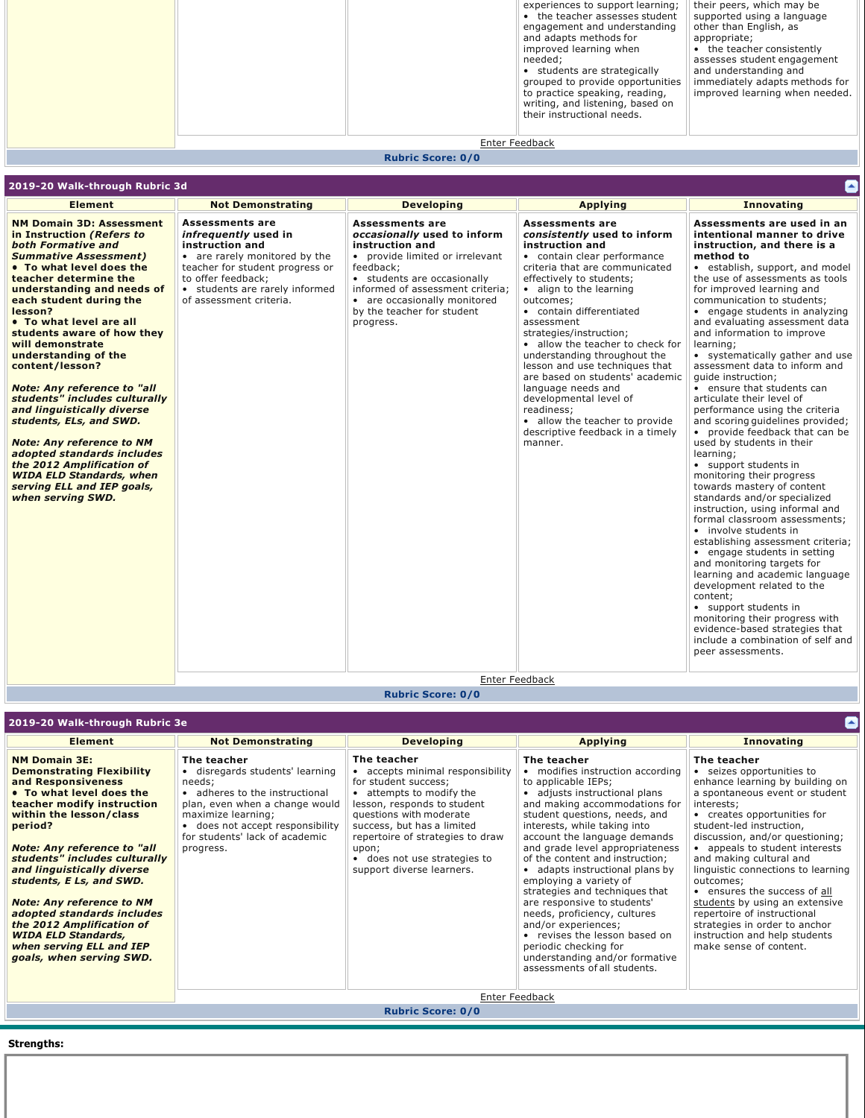|  |                | experiences to support learning;<br>• the teacher assesses student<br>engagement and understanding<br>and adapts methods for<br>improved learning when<br>needed:<br>• students are strategically<br>grouped to provide opportunities<br>to practice speaking, reading,<br>writing, and listening, based on<br>their instructional needs. | their peers, which may be<br>supported using a language<br>other than English, as<br>appropriate;<br>• the teacher consistently<br>assesses student engagement<br>and understanding and<br>immediately adapts methods for<br>improved learning when needed. |
|--|----------------|-------------------------------------------------------------------------------------------------------------------------------------------------------------------------------------------------------------------------------------------------------------------------------------------------------------------------------------------|-------------------------------------------------------------------------------------------------------------------------------------------------------------------------------------------------------------------------------------------------------------|
|  | Enter Feedback |                                                                                                                                                                                                                                                                                                                                           |                                                                                                                                                                                                                                                             |

# **Rubric Score: 0/0**

O

# **2019-20 Walk-through Rubric 3d**

### **Rubric Score: 0/0**

| 2019-20 Walk-through Rubric 3e                                                                                                                                                                                                                                                                                                                                                                                                                                                                       |                                                                                                                                                                                                                                     |                                                                                                                                                                                                                                                                                                       |                                                                                                                                                                                                                                                                                                                                                                                                                                                                                                                                                                                                                                  |                                                                                                                                                                                                                                                                                                                                                                                                                                                                                                                                      |  |  |
|------------------------------------------------------------------------------------------------------------------------------------------------------------------------------------------------------------------------------------------------------------------------------------------------------------------------------------------------------------------------------------------------------------------------------------------------------------------------------------------------------|-------------------------------------------------------------------------------------------------------------------------------------------------------------------------------------------------------------------------------------|-------------------------------------------------------------------------------------------------------------------------------------------------------------------------------------------------------------------------------------------------------------------------------------------------------|----------------------------------------------------------------------------------------------------------------------------------------------------------------------------------------------------------------------------------------------------------------------------------------------------------------------------------------------------------------------------------------------------------------------------------------------------------------------------------------------------------------------------------------------------------------------------------------------------------------------------------|--------------------------------------------------------------------------------------------------------------------------------------------------------------------------------------------------------------------------------------------------------------------------------------------------------------------------------------------------------------------------------------------------------------------------------------------------------------------------------------------------------------------------------------|--|--|
| <b>Element</b>                                                                                                                                                                                                                                                                                                                                                                                                                                                                                       | <b>Not Demonstrating</b>                                                                                                                                                                                                            | <b>Developing</b>                                                                                                                                                                                                                                                                                     | <b>Applying</b>                                                                                                                                                                                                                                                                                                                                                                                                                                                                                                                                                                                                                  | <b>Innovating</b>                                                                                                                                                                                                                                                                                                                                                                                                                                                                                                                    |  |  |
| <b>NM Domain 3E:</b><br><b>Demonstrating Flexibility</b><br>and Responsiveness<br>• To what level does the<br>teacher modify instruction<br>within the lesson/class<br>period?<br><b>Note: Any reference to "all</b><br>students" includes culturally<br>and linguistically diverse<br>students, E Ls, and SWD.<br><b>Note: Any reference to NM</b><br>adopted standards includes<br>the 2012 Amplification of<br><b>WIDA ELD Standards,</b><br>when serving ELL and IEP<br>goals, when serving SWD. | The teacher<br>· disregards students' learning<br>needs;<br>• adheres to the instructional<br>plan, even when a change would<br>maximize learning;<br>does not accept responsibility<br>for students' lack of academic<br>progress. | The teacher<br>• accepts minimal responsibility<br>for student success:<br>• attempts to modify the<br>lesson, responds to student<br>questions with moderate<br>success, but has a limited<br>repertoire of strategies to draw<br>upon;<br>• does not use strategies to<br>support diverse learners. | The teacher<br>• modifies instruction according<br>to applicable IEPs;<br>• adjusts instructional plans<br>and making accommodations for<br>student questions, needs, and<br>interests, while taking into<br>account the language demands<br>and grade level appropriateness<br>of the content and instruction;<br>• adapts instructional plans by<br>employing a variety of<br>strategies and techniques that<br>are responsive to students'<br>needs, proficiency, cultures<br>and/or experiences;<br>• revises the lesson based on<br>periodic checking for<br>understanding and/or formative<br>assessments of all students. | The teacher<br>• seizes opportunities to<br>enhance learning by building on<br>a spontaneous event or student<br>interests;<br>• creates opportunities for<br>student-led instruction,<br>discussion, and/or questioning;<br>appeals to student interests<br>and making cultural and<br>linguistic connections to learning<br>outcomes;<br>• ensures the success of all<br>students by using an extensive<br>repertoire of instructional<br>strategies in order to anchor<br>instruction and help students<br>make sense of content. |  |  |
|                                                                                                                                                                                                                                                                                                                                                                                                                                                                                                      | Enter Feedback                                                                                                                                                                                                                      |                                                                                                                                                                                                                                                                                                       |                                                                                                                                                                                                                                                                                                                                                                                                                                                                                                                                                                                                                                  |                                                                                                                                                                                                                                                                                                                                                                                                                                                                                                                                      |  |  |

**Rubric Score: 0/0**